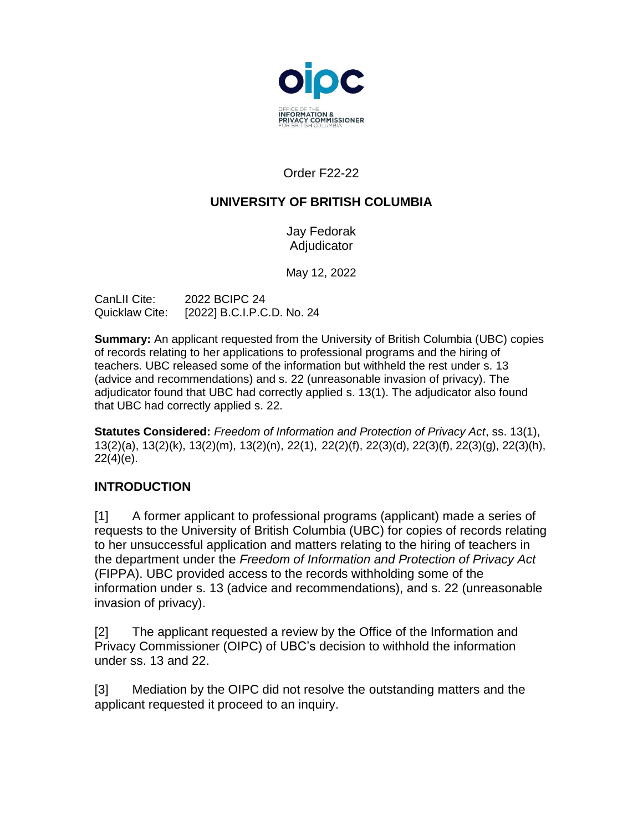

Order F22-22

# **UNIVERSITY OF BRITISH COLUMBIA**

Jay Fedorak Adjudicator

May 12, 2022

| CanLII Cite:   | 2022 BCIPC 24              |
|----------------|----------------------------|
| Quicklaw Cite: | [2022] B.C.I.P.C.D. No. 24 |

**Summary:** An applicant requested from the University of British Columbia (UBC) copies of records relating to her applications to professional programs and the hiring of teachers. UBC released some of the information but withheld the rest under s. 13 (advice and recommendations) and s. 22 (unreasonable invasion of privacy). The adjudicator found that UBC had correctly applied s. 13(1). The adjudicator also found that UBC had correctly applied s. 22.

**Statutes Considered:** *Freedom of Information and Protection of Privacy Act*, ss. 13(1), 13(2)(a), 13(2)(k), 13(2)(m), 13(2)(n), 22(1), 22(2)(f), 22(3)(d), 22(3)(f), 22(3)(g), 22(3)(h), 22(4)(e).

# **INTRODUCTION**

[1] A former applicant to professional programs (applicant) made a series of requests to the University of British Columbia (UBC) for copies of records relating to her unsuccessful application and matters relating to the hiring of teachers in the department under the *Freedom of Information and Protection of Privacy Act*  (FIPPA). UBC provided access to the records withholding some of the information under s. 13 (advice and recommendations), and s. 22 (unreasonable invasion of privacy).

[2] The applicant requested a review by the Office of the Information and Privacy Commissioner (OIPC) of UBC's decision to withhold the information under ss. 13 and 22.

[3] Mediation by the OIPC did not resolve the outstanding matters and the applicant requested it proceed to an inquiry.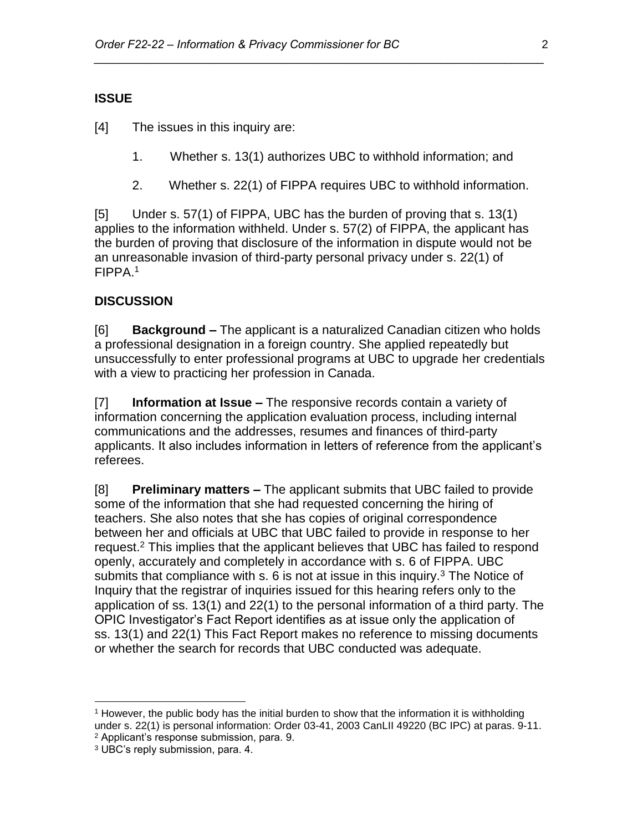### **ISSUE**

[4] The issues in this inquiry are:

1. Whether s. 13(1) authorizes UBC to withhold information; and

*\_\_\_\_\_\_\_\_\_\_\_\_\_\_\_\_\_\_\_\_\_\_\_\_\_\_\_\_\_\_\_\_\_\_\_\_\_\_\_\_\_\_\_\_\_\_\_\_\_\_\_\_\_\_\_\_\_\_\_\_\_\_\_\_\_\_\_\_\_\_*

2. Whether s. 22(1) of FIPPA requires UBC to withhold information.

[5] Under s. 57(1) of FIPPA, UBC has the burden of proving that s. 13(1) applies to the information withheld. Under s. 57(2) of FIPPA, the applicant has the burden of proving that disclosure of the information in dispute would not be an unreasonable invasion of third-party personal privacy under s. 22(1) of FIPPA.<sup>1</sup>

### **DISCUSSION**

[6] **Background –** The applicant is a naturalized Canadian citizen who holds a professional designation in a foreign country. She applied repeatedly but unsuccessfully to enter professional programs at UBC to upgrade her credentials with a view to practicing her profession in Canada.

[7] **Information at Issue –** The responsive records contain a variety of information concerning the application evaluation process, including internal communications and the addresses, resumes and finances of third-party applicants. It also includes information in letters of reference from the applicant's referees.

[8] **Preliminary matters –** The applicant submits that UBC failed to provide some of the information that she had requested concerning the hiring of teachers. She also notes that she has copies of original correspondence between her and officials at UBC that UBC failed to provide in response to her request.<sup>2</sup> This implies that the applicant believes that UBC has failed to respond openly, accurately and completely in accordance with s. 6 of FIPPA. UBC submits that compliance with s.  $6$  is not at issue in this inquiry.<sup>3</sup> The Notice of Inquiry that the registrar of inquiries issued for this hearing refers only to the application of ss. 13(1) and 22(1) to the personal information of a third party. The OPIC Investigator's Fact Report identifies as at issue only the application of ss. 13(1) and 22(1) This Fact Report makes no reference to missing documents or whether the search for records that UBC conducted was adequate.

<sup>1</sup> However, the public body has the initial burden to show that the information it is withholding under s. 22(1) is personal information: Order 03-41, 2003 CanLII 49220 (BC IPC) at paras. 9-11. <sup>2</sup> Applicant's response submission, para. 9.

<sup>3</sup> UBC's reply submission, para. 4.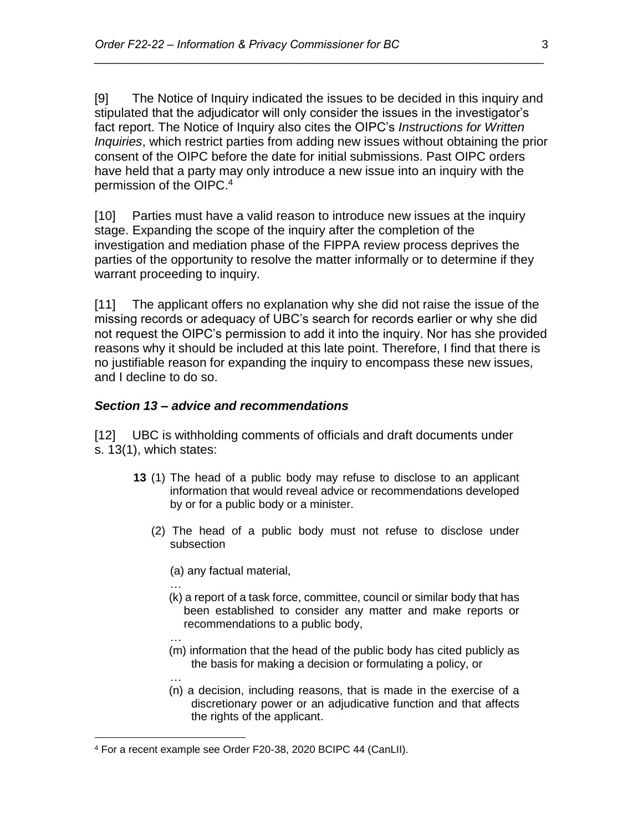[9] The Notice of Inquiry indicated the issues to be decided in this inquiry and stipulated that the adjudicator will only consider the issues in the investigator's fact report. The Notice of Inquiry also cites the OIPC's *Instructions for Written Inquiries*, which restrict parties from adding new issues without obtaining the prior consent of the OIPC before the date for initial submissions. Past OIPC orders have held that a party may only introduce a new issue into an inquiry with the permission of the OIPC.<sup>4</sup>

*\_\_\_\_\_\_\_\_\_\_\_\_\_\_\_\_\_\_\_\_\_\_\_\_\_\_\_\_\_\_\_\_\_\_\_\_\_\_\_\_\_\_\_\_\_\_\_\_\_\_\_\_\_\_\_\_\_\_\_\_\_\_\_\_\_\_\_\_\_\_*

[10] Parties must have a valid reason to introduce new issues at the inquiry stage. Expanding the scope of the inquiry after the completion of the investigation and mediation phase of the FIPPA review process deprives the parties of the opportunity to resolve the matter informally or to determine if they warrant proceeding to inquiry.

[11] The applicant offers no explanation why she did not raise the issue of the missing records or adequacy of UBC's search for records earlier or why she did not request the OIPC's permission to add it into the inquiry. Nor has she provided reasons why it should be included at this late point. Therefore, I find that there is no justifiable reason for expanding the inquiry to encompass these new issues, and I decline to do so.

#### *Section 13 – advice and recommendations*

[12] UBC is withholding comments of officials and draft documents under s. 13(1), which states:

- **13** (1) The head of a public body may refuse to disclose to an applicant information that would reveal advice or recommendations developed by or for a public body or a minister.
	- (2) The head of a public body must not refuse to disclose under subsection
		- (a) any factual material,

…

- (k) a report of a task force, committee, council or similar body that has been established to consider any matter and make reports or recommendations to a public body,
- … (m) information that the head of the public body has cited publicly as the basis for making a decision or formulating a policy, or
- … (n) a decision, including reasons, that is made in the exercise of a discretionary power or an adjudicative function and that affects the rights of the applicant.

<sup>4</sup> For a recent example see Order F20-38, 2020 BCIPC 44 (CanLII).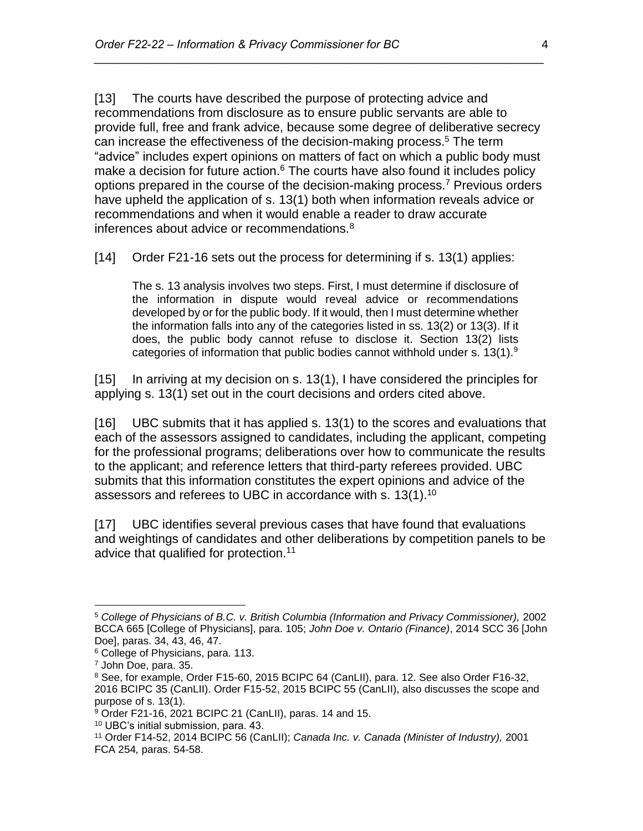[13] The courts have described the purpose of protecting advice and recommendations from disclosure as to ensure public servants are able to provide full, free and frank advice, because some degree of deliberative secrecy can increase the effectiveness of the decision-making process.<sup>5</sup> The term "advice" includes expert opinions on matters of fact on which a public body must make a decision for future action. $6$  The courts have also found it includes policy options prepared in the course of the decision-making process.<sup>7</sup> Previous orders have upheld the application of s. 13(1) both when information reveals advice or recommendations and when it would enable a reader to draw accurate inferences about advice or recommendations.<sup>8</sup>

*\_\_\_\_\_\_\_\_\_\_\_\_\_\_\_\_\_\_\_\_\_\_\_\_\_\_\_\_\_\_\_\_\_\_\_\_\_\_\_\_\_\_\_\_\_\_\_\_\_\_\_\_\_\_\_\_\_\_\_\_\_\_\_\_\_\_\_\_\_\_*

[14] Order F21-16 sets out the process for determining if s. 13(1) applies:

The s. 13 analysis involves two steps. First, I must determine if disclosure of the information in dispute would reveal advice or recommendations developed by or for the public body. If it would, then I must determine whether the information falls into any of the categories listed in ss. 13(2) or 13(3). If it does, the public body cannot refuse to disclose it. Section 13(2) lists categories of information that public bodies cannot withhold under s.  $13(1).<sup>9</sup>$ 

[15] In arriving at my decision on s. 13(1), I have considered the principles for applying s. 13(1) set out in the court decisions and orders cited above.

[16] UBC submits that it has applied s. 13(1) to the scores and evaluations that each of the assessors assigned to candidates, including the applicant, competing for the professional programs; deliberations over how to communicate the results to the applicant; and reference letters that third-party referees provided. UBC submits that this information constitutes the expert opinions and advice of the assessors and referees to UBC in accordance with s. 13(1).<sup>10</sup>

[17] UBC identifies several previous cases that have found that evaluations and weightings of candidates and other deliberations by competition panels to be advice that qualified for protection.<sup>11</sup>

<sup>5</sup> *College of Physicians of B.C. v. British Columbia (Information and Privacy Commissioner),* 2002 BCCA 665 [College of Physicians], para. 105; *John Doe v. Ontario (Finance)*, 2014 SCC 36 [John Doe], paras. 34, 43, 46, 47.

<sup>6</sup> College of Physicians, para. 113.

<sup>7</sup> John Doe, para. 35.

<sup>&</sup>lt;sup>8</sup> See, for example, Order F15-60, 2015 BCIPC 64 (CanLII), para. 12. See also Order F16-32, 2016 BCIPC 35 (CanLII). Order F15-52, 2015 BCIPC 55 (CanLII), also discusses the scope and purpose of s. 13(1).

<sup>9</sup> Order F21-16, 2021 BCIPC 21 (CanLII), paras. 14 and 15.

<sup>10</sup> UBC's initial submission, para. 43.

<sup>11</sup> Order F14-52, 2014 BCIPC 56 (CanLII); *Canada Inc. v. Canada (Minister of Industry),* 2001 FCA 254*,* paras. 54-58.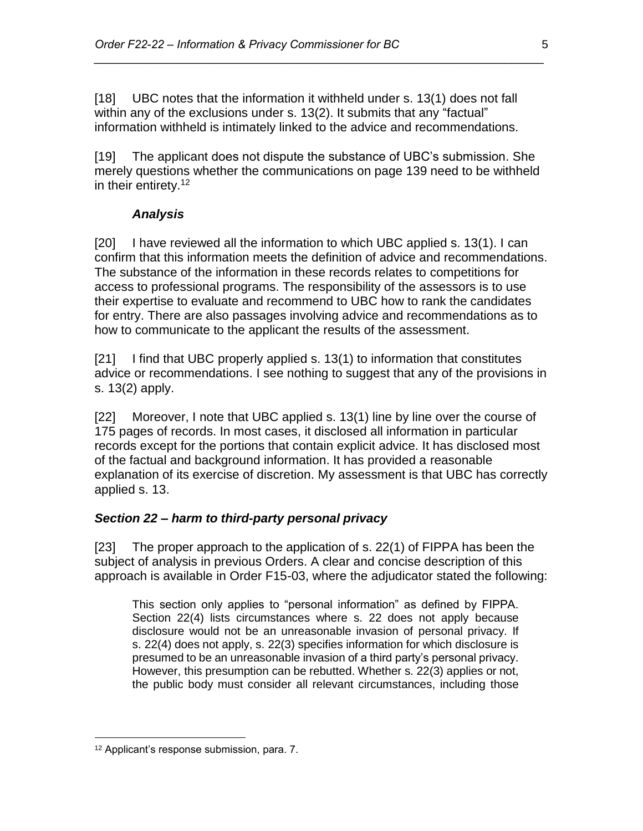[18] UBC notes that the information it withheld under s. 13(1) does not fall within any of the exclusions under s. 13(2). It submits that any "factual" information withheld is intimately linked to the advice and recommendations.

*\_\_\_\_\_\_\_\_\_\_\_\_\_\_\_\_\_\_\_\_\_\_\_\_\_\_\_\_\_\_\_\_\_\_\_\_\_\_\_\_\_\_\_\_\_\_\_\_\_\_\_\_\_\_\_\_\_\_\_\_\_\_\_\_\_\_\_\_\_\_*

[19] The applicant does not dispute the substance of UBC's submission. She merely questions whether the communications on page 139 need to be withheld in their entirety.<sup>12</sup>

### *Analysis*

[20] I have reviewed all the information to which UBC applied s. 13(1). I can confirm that this information meets the definition of advice and recommendations. The substance of the information in these records relates to competitions for access to professional programs. The responsibility of the assessors is to use their expertise to evaluate and recommend to UBC how to rank the candidates for entry. There are also passages involving advice and recommendations as to how to communicate to the applicant the results of the assessment.

[21] I find that UBC properly applied s. 13(1) to information that constitutes advice or recommendations. I see nothing to suggest that any of the provisions in s. 13(2) apply.

[22] Moreover, I note that UBC applied s. 13(1) line by line over the course of 175 pages of records. In most cases, it disclosed all information in particular records except for the portions that contain explicit advice. It has disclosed most of the factual and background information. It has provided a reasonable explanation of its exercise of discretion. My assessment is that UBC has correctly applied s. 13.

#### *Section 22 – harm to third-party personal privacy*

[23] The proper approach to the application of s. 22(1) of FIPPA has been the subject of analysis in previous Orders. A clear and concise description of this approach is available in Order F15-03, where the adjudicator stated the following:

This section only applies to "personal information" as defined by FIPPA. Section 22(4) lists circumstances where s. 22 does not apply because disclosure would not be an unreasonable invasion of personal privacy. If s. 22(4) does not apply, s. 22(3) specifies information for which disclosure is presumed to be an unreasonable invasion of a third party's personal privacy. However, this presumption can be rebutted. Whether s. 22(3) applies or not, the public body must consider all relevant circumstances, including those

<sup>12</sup> Applicant's response submission, para. 7.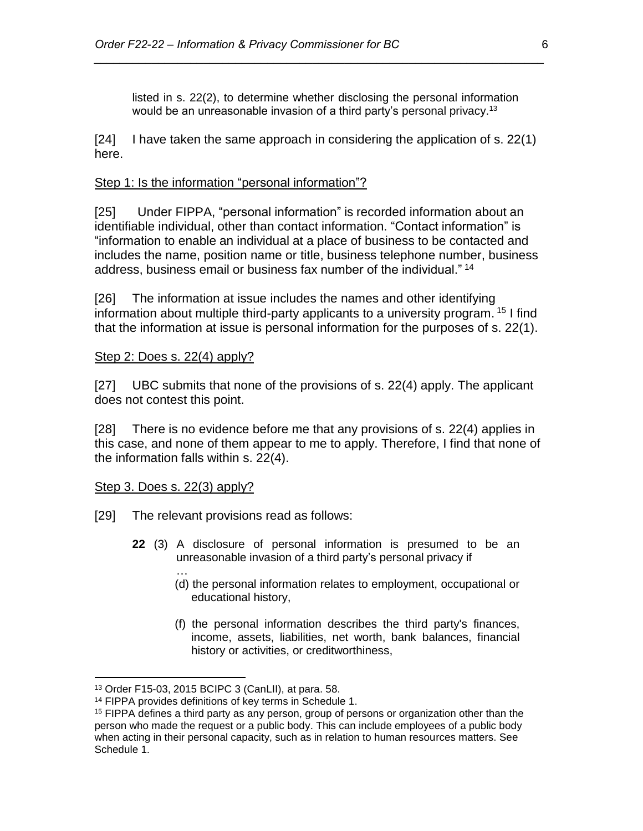listed in s. 22(2), to determine whether disclosing the personal information would be an unreasonable invasion of a third party's personal privacy.<sup>13</sup>

*\_\_\_\_\_\_\_\_\_\_\_\_\_\_\_\_\_\_\_\_\_\_\_\_\_\_\_\_\_\_\_\_\_\_\_\_\_\_\_\_\_\_\_\_\_\_\_\_\_\_\_\_\_\_\_\_\_\_\_\_\_\_\_\_\_\_\_\_\_\_*

[24] I have taken the same approach in considering the application of s. 22(1) here.

#### Step 1: Is the information "personal information"?

[25] Under FIPPA, "personal information" is recorded information about an identifiable individual, other than contact information. "Contact information" is "information to enable an individual at a place of business to be contacted and includes the name, position name or title, business telephone number, business address, business email or business fax number of the individual." <sup>14</sup>

[26] The information at issue includes the names and other identifying information about multiple third-party applicants to a university program. <sup>15</sup> I find that the information at issue is personal information for the purposes of s. 22(1).

#### Step 2: Does s. 22(4) apply?

[27] UBC submits that none of the provisions of s. 22(4) apply. The applicant does not contest this point.

[28] There is no evidence before me that any provisions of s. 22(4) applies in this case, and none of them appear to me to apply. Therefore, I find that none of the information falls within s. 22(4).

#### Step 3. Does s. 22(3) apply?

…

- [29] The relevant provisions read as follows:
	- **22** (3) A disclosure of personal information is presumed to be an unreasonable invasion of a third party's personal privacy if
		- (d) the personal information relates to employment, occupational or educational history,
		- (f) the personal information describes the third party's finances, income, assets, liabilities, net worth, bank balances, financial history or activities, or creditworthiness,

<sup>13</sup> Order F15-03, 2015 BCIPC 3 (CanLII), at para. 58.

<sup>14</sup> FIPPA provides definitions of key terms in Schedule 1.

<sup>&</sup>lt;sup>15</sup> FIPPA defines a third party as any person, group of persons or organization other than the person who made the request or a public body. This can include employees of a public body when acting in their personal capacity, such as in relation to human resources matters. See Schedule 1.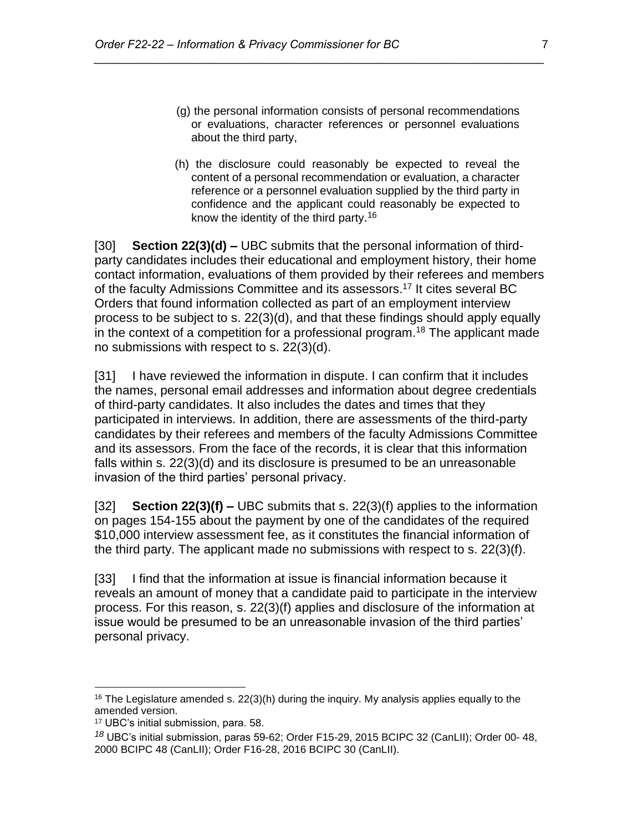(g) the personal information consists of personal recommendations or evaluations, character references or personnel evaluations about the third party,

*\_\_\_\_\_\_\_\_\_\_\_\_\_\_\_\_\_\_\_\_\_\_\_\_\_\_\_\_\_\_\_\_\_\_\_\_\_\_\_\_\_\_\_\_\_\_\_\_\_\_\_\_\_\_\_\_\_\_\_\_\_\_\_\_\_\_\_\_\_\_*

(h) the disclosure could reasonably be expected to reveal the content of a personal recommendation or evaluation, a character reference or a personnel evaluation supplied by the third party in confidence and the applicant could reasonably be expected to know the identity of the third party. 16

[30] **Section 22(3)(d) –** UBC submits that the personal information of thirdparty candidates includes their educational and employment history, their home contact information, evaluations of them provided by their referees and members of the faculty Admissions Committee and its assessors.<sup>17</sup> It cites several BC Orders that found information collected as part of an employment interview process to be subject to s. 22(3)(d), and that these findings should apply equally in the context of a competition for a professional program. <sup>18</sup> The applicant made no submissions with respect to s. 22(3)(d).

[31] I have reviewed the information in dispute. I can confirm that it includes the names, personal email addresses and information about degree credentials of third-party candidates. It also includes the dates and times that they participated in interviews. In addition, there are assessments of the third-party candidates by their referees and members of the faculty Admissions Committee and its assessors. From the face of the records, it is clear that this information falls within s. 22(3)(d) and its disclosure is presumed to be an unreasonable invasion of the third parties' personal privacy.

[32] **Section 22(3)(f) –** UBC submits that s. 22(3)(f) applies to the information on pages 154-155 about the payment by one of the candidates of the required \$10,000 interview assessment fee, as it constitutes the financial information of the third party. The applicant made no submissions with respect to s. 22(3)(f).

[33] I find that the information at issue is financial information because it reveals an amount of money that a candidate paid to participate in the interview process. For this reason, s. 22(3)(f) applies and disclosure of the information at issue would be presumed to be an unreasonable invasion of the third parties' personal privacy.

<sup>&</sup>lt;sup>16</sup> The Legislature amended s.  $22(3)(h)$  during the inquiry. My analysis applies equally to the amended version.

<sup>17</sup> UBC's initial submission, para. 58.

*<sup>18</sup>* UBC's initial submission, paras 59-62; Order F15-29, 2015 BCIPC 32 (CanLII); Order 00- 48, 2000 BCIPC 48 (CanLII); Order F16-28, 2016 BCIPC 30 (CanLII).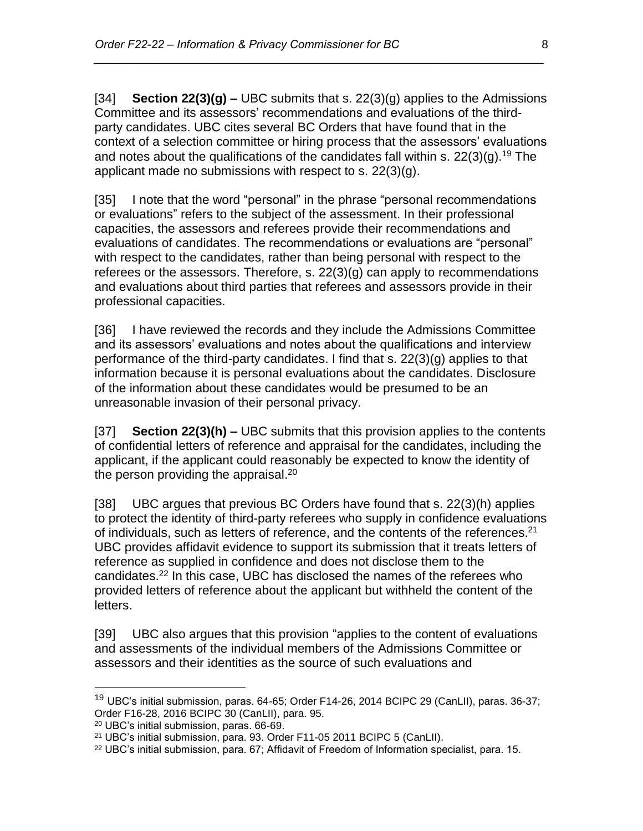[34] **Section 22(3)(g) –** UBC submits that s. 22(3)(g) applies to the Admissions Committee and its assessors' recommendations and evaluations of the thirdparty candidates. UBC cites several BC Orders that have found that in the context of a selection committee or hiring process that the assessors' evaluations and notes about the qualifications of the candidates fall within s.  $22(3)(q)$ <sup>19</sup> The applicant made no submissions with respect to s. 22(3)(g).

*\_\_\_\_\_\_\_\_\_\_\_\_\_\_\_\_\_\_\_\_\_\_\_\_\_\_\_\_\_\_\_\_\_\_\_\_\_\_\_\_\_\_\_\_\_\_\_\_\_\_\_\_\_\_\_\_\_\_\_\_\_\_\_\_\_\_\_\_\_\_*

[35] I note that the word "personal" in the phrase "personal recommendations or evaluations" refers to the subject of the assessment. In their professional capacities, the assessors and referees provide their recommendations and evaluations of candidates. The recommendations or evaluations are "personal" with respect to the candidates, rather than being personal with respect to the referees or the assessors. Therefore, s. 22(3)(g) can apply to recommendations and evaluations about third parties that referees and assessors provide in their professional capacities.

[36] I have reviewed the records and they include the Admissions Committee and its assessors' evaluations and notes about the qualifications and interview performance of the third-party candidates. I find that s. 22(3)(g) applies to that information because it is personal evaluations about the candidates. Disclosure of the information about these candidates would be presumed to be an unreasonable invasion of their personal privacy.

[37] **Section 22(3)(h) –** UBC submits that this provision applies to the contents of confidential letters of reference and appraisal for the candidates, including the applicant, if the applicant could reasonably be expected to know the identity of the person providing the appraisal.<sup>20</sup>

[38] UBC argues that previous BC Orders have found that s. 22(3)(h) applies to protect the identity of third-party referees who supply in confidence evaluations of individuals, such as letters of reference, and the contents of the references.<sup>21</sup> UBC provides affidavit evidence to support its submission that it treats letters of reference as supplied in confidence and does not disclose them to the candidates.<sup>22</sup> In this case, UBC has disclosed the names of the referees who provided letters of reference about the applicant but withheld the content of the letters.

[39] UBC also argues that this provision "applies to the content of evaluations and assessments of the individual members of the Admissions Committee or assessors and their identities as the source of such evaluations and

<sup>&</sup>lt;sup>19</sup> UBC's initial submission, paras. 64-65; Order F14-26, 2014 BCIPC 29 (CanLII), paras. 36-37; Order F16-28, 2016 BCIPC 30 (CanLII), para. 95.

<sup>20</sup> UBC's initial submission, paras. 66-69.

<sup>21</sup> UBC's initial submission, para. 93. Order F11-05 2011 BCIPC 5 (CanLII).

 $22$  UBC's initial submission, para. 67; Affidavit of Freedom of Information specialist, para. 15.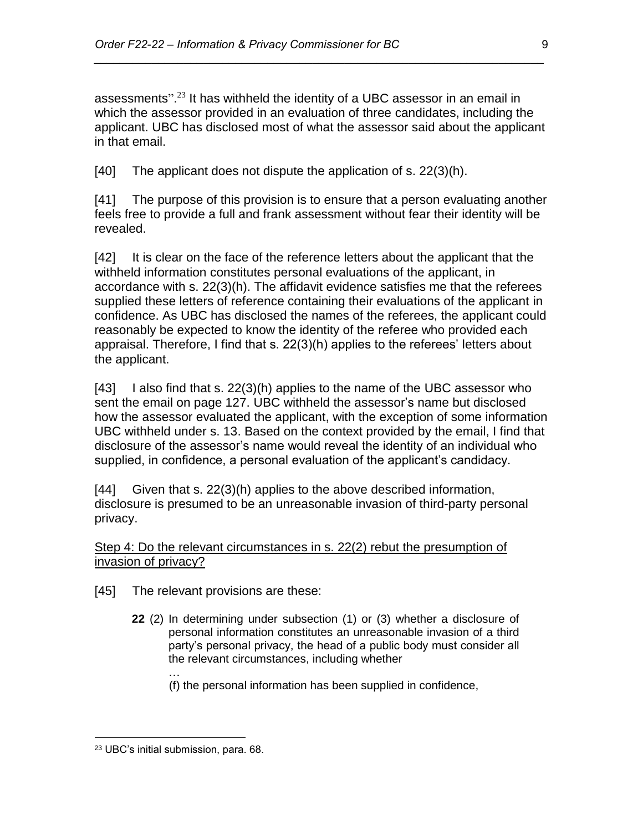assessments".<sup>23</sup> It has withheld the identity of a UBC assessor in an email in which the assessor provided in an evaluation of three candidates, including the applicant. UBC has disclosed most of what the assessor said about the applicant in that email.

*\_\_\_\_\_\_\_\_\_\_\_\_\_\_\_\_\_\_\_\_\_\_\_\_\_\_\_\_\_\_\_\_\_\_\_\_\_\_\_\_\_\_\_\_\_\_\_\_\_\_\_\_\_\_\_\_\_\_\_\_\_\_\_\_\_\_\_\_\_\_*

[40] The applicant does not dispute the application of s. 22(3)(h).

[41] The purpose of this provision is to ensure that a person evaluating another feels free to provide a full and frank assessment without fear their identity will be revealed.

[42] It is clear on the face of the reference letters about the applicant that the withheld information constitutes personal evaluations of the applicant, in accordance with s. 22(3)(h). The affidavit evidence satisfies me that the referees supplied these letters of reference containing their evaluations of the applicant in confidence. As UBC has disclosed the names of the referees, the applicant could reasonably be expected to know the identity of the referee who provided each appraisal. Therefore, I find that s. 22(3)(h) applies to the referees' letters about the applicant.

[43] I also find that s. 22(3)(h) applies to the name of the UBC assessor who sent the email on page 127. UBC withheld the assessor's name but disclosed how the assessor evaluated the applicant, with the exception of some information UBC withheld under s. 13. Based on the context provided by the email, I find that disclosure of the assessor's name would reveal the identity of an individual who supplied, in confidence, a personal evaluation of the applicant's candidacy.

[44] Given that s. 22(3)(h) applies to the above described information, disclosure is presumed to be an unreasonable invasion of third-party personal privacy.

Step 4: Do the relevant circumstances in s. 22(2) rebut the presumption of invasion of privacy?

[45] The relevant provisions are these:

- **22** (2) In determining under subsection (1) or (3) whether a disclosure of personal information constitutes an unreasonable invasion of a third party's personal privacy, the head of a public body must consider all the relevant circumstances, including whether
	- … (f) the personal information has been supplied in confidence,

<sup>23</sup> UBC's initial submission, para. 68.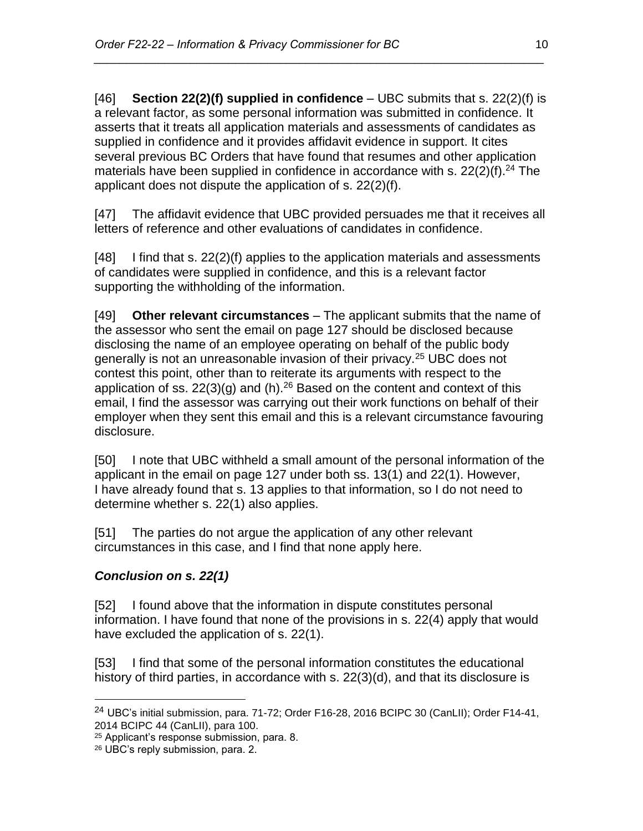[46] **Section 22(2)(f) supplied in confidence** – UBC submits that s. 22(2)(f) is a relevant factor, as some personal information was submitted in confidence. It asserts that it treats all application materials and assessments of candidates as supplied in confidence and it provides affidavit evidence in support. It cites several previous BC Orders that have found that resumes and other application materials have been supplied in confidence in accordance with s.  $22(2)(f).<sup>24</sup>$  The applicant does not dispute the application of s. 22(2)(f).

*\_\_\_\_\_\_\_\_\_\_\_\_\_\_\_\_\_\_\_\_\_\_\_\_\_\_\_\_\_\_\_\_\_\_\_\_\_\_\_\_\_\_\_\_\_\_\_\_\_\_\_\_\_\_\_\_\_\_\_\_\_\_\_\_\_\_\_\_\_\_*

[47] The affidavit evidence that UBC provided persuades me that it receives all letters of reference and other evaluations of candidates in confidence.

[48] I find that s. 22(2)(f) applies to the application materials and assessments of candidates were supplied in confidence, and this is a relevant factor supporting the withholding of the information.

[49] **Other relevant circumstances** – The applicant submits that the name of the assessor who sent the email on page 127 should be disclosed because disclosing the name of an employee operating on behalf of the public body generally is not an unreasonable invasion of their privacy.<sup>25</sup> UBC does not contest this point, other than to reiterate its arguments with respect to the application of ss.  $22(3)(g)$  and (h).<sup>26</sup> Based on the content and context of this email, I find the assessor was carrying out their work functions on behalf of their employer when they sent this email and this is a relevant circumstance favouring disclosure.

[50] I note that UBC withheld a small amount of the personal information of the applicant in the email on page 127 under both ss. 13(1) and 22(1). However, I have already found that s. 13 applies to that information, so I do not need to determine whether s. 22(1) also applies.

[51] The parties do not argue the application of any other relevant circumstances in this case, and I find that none apply here.

# *Conclusion on s. 22(1)*

[52] I found above that the information in dispute constitutes personal information. I have found that none of the provisions in s. 22(4) apply that would have excluded the application of s. 22(1).

[53] I find that some of the personal information constitutes the educational history of third parties, in accordance with s. 22(3)(d), and that its disclosure is

 $^{24}$  UBC's initial submission, para. 71-72; Order F16-28, 2016 BCIPC 30 (CanLII); Order F14-41, 2014 BCIPC 44 (CanLII), para 100.

<sup>25</sup> Applicant's response submission, para. 8.

<sup>26</sup> UBC's reply submission, para. 2.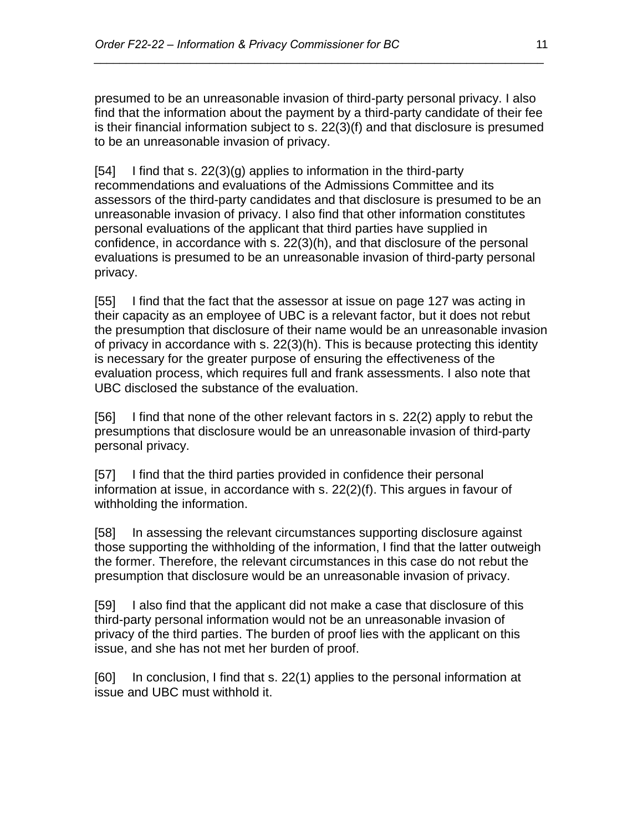presumed to be an unreasonable invasion of third-party personal privacy. I also find that the information about the payment by a third-party candidate of their fee is their financial information subject to s. 22(3)(f) and that disclosure is presumed to be an unreasonable invasion of privacy.

*\_\_\_\_\_\_\_\_\_\_\_\_\_\_\_\_\_\_\_\_\_\_\_\_\_\_\_\_\_\_\_\_\_\_\_\_\_\_\_\_\_\_\_\_\_\_\_\_\_\_\_\_\_\_\_\_\_\_\_\_\_\_\_\_\_\_\_\_\_\_*

 $[54]$  I find that s. 22(3)(g) applies to information in the third-party recommendations and evaluations of the Admissions Committee and its assessors of the third-party candidates and that disclosure is presumed to be an unreasonable invasion of privacy. I also find that other information constitutes personal evaluations of the applicant that third parties have supplied in confidence, in accordance with s. 22(3)(h), and that disclosure of the personal evaluations is presumed to be an unreasonable invasion of third-party personal privacy.

[55] I find that the fact that the assessor at issue on page 127 was acting in their capacity as an employee of UBC is a relevant factor, but it does not rebut the presumption that disclosure of their name would be an unreasonable invasion of privacy in accordance with s. 22(3)(h). This is because protecting this identity is necessary for the greater purpose of ensuring the effectiveness of the evaluation process, which requires full and frank assessments. I also note that UBC disclosed the substance of the evaluation.

[56] I find that none of the other relevant factors in s. 22(2) apply to rebut the presumptions that disclosure would be an unreasonable invasion of third-party personal privacy.

[57] I find that the third parties provided in confidence their personal information at issue, in accordance with s. 22(2)(f). This argues in favour of withholding the information.

[58] In assessing the relevant circumstances supporting disclosure against those supporting the withholding of the information, I find that the latter outweigh the former. Therefore, the relevant circumstances in this case do not rebut the presumption that disclosure would be an unreasonable invasion of privacy.

[59] I also find that the applicant did not make a case that disclosure of this third-party personal information would not be an unreasonable invasion of privacy of the third parties. The burden of proof lies with the applicant on this issue, and she has not met her burden of proof.

[60] In conclusion, I find that s. 22(1) applies to the personal information at issue and UBC must withhold it.